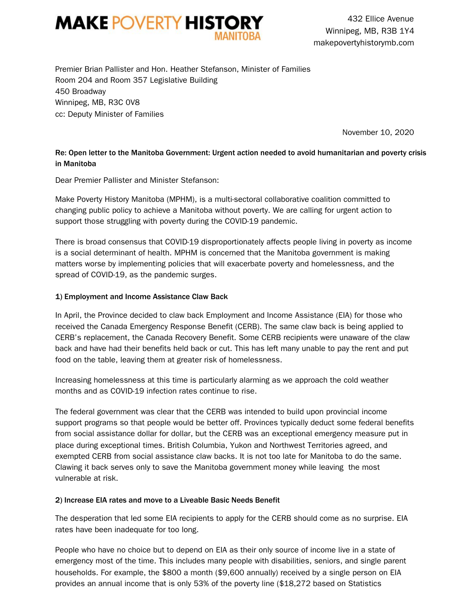

432 Ellice Avenue Winnipeg, MB, R3B 1Y4 makepovertyhistorymb.com

Premier Brian Pallister and Hon. Heather Stefanson, Minister of Families Room 204 and Room 357 Legislative Building 450 Broadway Winnipeg, MB, R3C 0V8 cc: Deputy Minister of Families

November 10, 2020

## Re: Open letter to the Manitoba Government: Urgent action needed to avoid humanitarian and poverty crisis in Manitoba

Dear Premier Pallister and Minister Stefanson:

Make Poverty History Manitoba (MPHM), is a multi-sectoral collaborative coalition committed to changing public policy to achieve a Manitoba without poverty. We are calling for urgent action to support those struggling with poverty during the COVID-19 pandemic.

There is broad consensus that COVID-19 disproportionately affects people living in poverty as income is a social determinant of health. MPHM is concerned that the Manitoba government is making matters worse by implementing policies that will exacerbate poverty and homelessness, and the spread of COVID-19, as the pandemic surges.

#### 1) Employment and Income Assistance Claw Back

In April, the Province decided to claw back Employment and Income Assistance (EIA) for those who received the Canada Emergency Response Benefit (CERB). The same claw back is being applied to CERB's replacement, the Canada Recovery Benefit. Some CERB recipients were unaware of the claw back and have had their benefits held back or cut. This has left many unable to pay the rent and put food on the table, leaving them at greater risk of homelessness.

Increasing homelessness at this time is particularly alarming as we approach the cold weather months and as COVID-19 infection rates continue to rise.

The federal government was clear that the CERB was intended to build upon provincial income support programs so that people would be better off. Provinces typically deduct some federal benefits from social assistance dollar for dollar, but the CERB was an exceptional emergency measure put in place during exceptional times. British Columbia, Yukon and Northwest Territories agreed, and exempted CERB from social assistance claw backs. It is not too late for Manitoba to do the same. Clawing it back serves only to save the Manitoba government money while leaving the most vulnerable at risk.

#### 2) Increase EIA rates and move to a Liveable Basic Needs Benefit

The desperation that led some EIA recipients to apply for the CERB should come as no surprise. EIA rates have been inadequate for too long.

People who have no choice but to depend on EIA as their only source of income live in a state of emergency most of the time. This includes many people with disabilities, seniors, and single parent households. For example, the \$800 a month (\$9,600 annually) received by a single person on EIA provides an annual income that is only 53% of the poverty line (\$18,272 based on Statistics